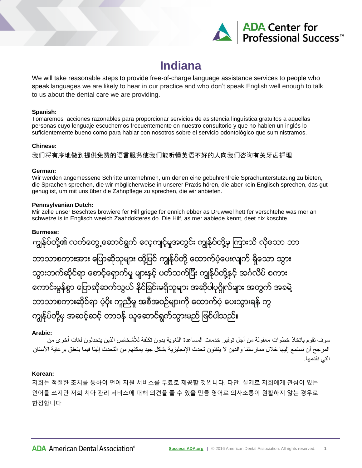

# **Indiana**

We will take reasonable steps to provide free-of-charge language assistance services to people who speak languages we are likely to hear in our practice and who don't speak English well enough to talk to us about the dental care we are providing.

#### **Spanish:**

Tomaremos acciones razonables para proporcionar servicios de asistencia lingüística gratuitos a aquellas personas cuyo lenguaje escuchemos frecuentemente en nuestro consultorio y que no hablen un inglés lo suficientemente bueno como para hablar con nosotros sobre el servicio odontológico que suministramos.

## **Chinese:**

我们将有序地做到提供免费的语言服务使我们能听懂英语不好的人向我们咨询有关牙齿护理

## **German:**

Wir werden angemessene Schritte unternehmen, um denen eine gebührenfreie Sprachunterstützung zu bieten, die Sprachen sprechen, die wir möglicherweise in unserer Praxis hören, die aber kein Englisch sprechen, das gut genug ist, um mit uns über die Zahnpflege zu sprechen, die wir anbieten.

## **Pennsylvanian Dutch:**

Mir zelle unser Beschtes browiere fer Hilf griege fer ennich ebber as Druwwel hett fer verschtehe was mer an schwetze is in Englisch weeich Zaahdokteres do. Die Hilf, as mer aabiede kennt, deet nix koschte.

## **Burmese:**

ကျွန်ုပ်တို့၏ လက်တွေ့ဆောင်ရွက် လေ့ကျင့်မှုအတွင်း ကျွန်ုပ်တို့မှ ကြားသိ လိုသော ဘာ ဘာသာစကားအား ပြောဆိုသူများ ထို့ပြင် ကျွန်ုပ်တို့ ထောက်ပံ့ပေးလျက် ရှိသော သွား သွားဘက်ဆိုင်ရာ စောင့်ရှောက်မှု များနှင့် ပတ်သက်ပြီး ကျွန်ုပ်တို့နှင့် အင်္ဂလိပ် စကား ကောင်းမွန်စွာ ပြောဆိုဆက်သွယ် နိုင်ခြင်းမရှိသူများ အဆိုပါပုဂ္ဂိုလ်များ အတွက် အခမဲ့ ဘာသာစကားဆိုင်ရာ ပံ့ပိုး ကူညီမှု အစီအစဉ်များကို ထောက်ပံ့ ပေးသွားရန် ကွ ကျွန်ုပ်တို့မှ အဆင့်ဆင့် တာဝန် ယူဆောင်ရွက်သွားမည် ဖြစ်ပါသည်။

## **Arabic:**

سوف نقوم باتخاذ خطوات معقولة من أجل توفير خدمات المساعدة اللغوية بدون تكلفة لألشخاص الذين يتحدثون لغات أخرى من المرجح أن نستمع إليها خلال ممارستنا والذين لا يتقنون تحدث الإنجليزية بشكل جيد يمكنهم من التحدث إلينا فيما يتعلق بر عاية الأسنان التي نقدمها.

# **Korean:**

저희는 적절한 조치를 통하여 언어 지원 서비스를 무료로 제공할 것입니다. 다만, 실제로 저희에게 관심이 있는 언어를 쓰지만 저희 치아 관리 서비스에 대해 의견을 줄 수 있을 만큼 영어로 의사소통이 원활하지 않는 경우로 한정합니다